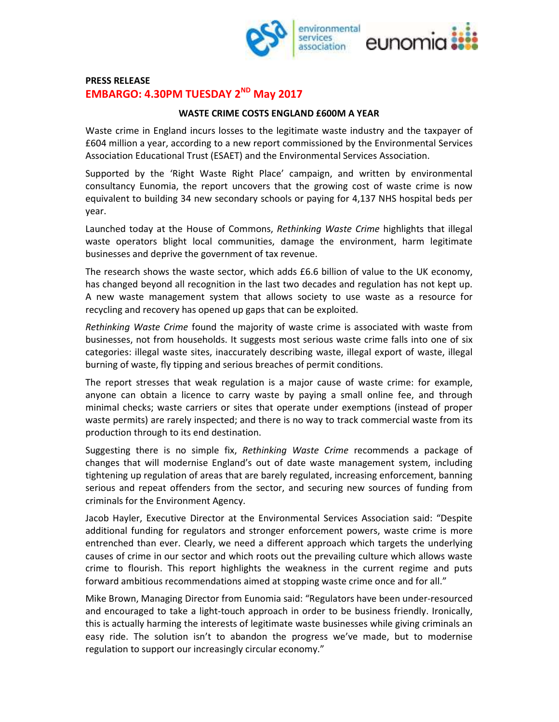

## **PRESS RELEASE EMBARGO: 4.30PM TUESDAY 2<sup>ND</sup> May 2017**

## **WASTE CRIME COSTS ENGLAND £600M A YEAR**

Waste crime in England incurs losses to the legitimate waste industry and the taxpayer of £604 million a year, according to a new report commissioned by the Environmental Services Association Educational Trust (ESAET) and the Environmental Services Association.

Supported by the 'Right Waste Right Place' campaign, and written by environmental consultancy Eunomia, the report uncovers that the growing cost of waste crime is now equivalent to building 34 new secondary schools or paying for 4,137 NHS hospital beds per year.

Launched today at the House of Commons, *Rethinking Waste Crime* highlights that illegal waste operators blight local communities, damage the environment, harm legitimate businesses and deprive the government of tax revenue.

The research shows the waste sector, which adds £6.6 billion of value to the UK economy, has changed beyond all recognition in the last two decades and regulation has not kept up. A new waste management system that allows society to use waste as a resource for recycling and recovery has opened up gaps that can be exploited.

*Rethinking Waste Crime* found the majority of waste crime is associated with waste from businesses, not from households. It suggests most serious waste crime falls into one of six categories: illegal waste sites, inaccurately describing waste, illegal export of waste, illegal burning of waste, fly tipping and serious breaches of permit conditions.

The report stresses that weak regulation is a major cause of waste crime: for example, anyone can obtain a licence to carry waste by paying a small online fee, and through minimal checks; waste carriers or sites that operate under exemptions (instead of proper waste permits) are rarely inspected; and there is no way to track commercial waste from its production through to its end destination.

Suggesting there is no simple fix, *Rethinking Waste Crime* recommends a package of changes that will modernise England's out of date waste management system, including tightening up regulation of areas that are barely regulated, increasing enforcement, banning serious and repeat offenders from the sector, and securing new sources of funding from criminals for the Environment Agency.

Jacob Hayler, Executive Director at the Environmental Services Association said: "Despite additional funding for regulators and stronger enforcement powers, waste crime is more entrenched than ever. Clearly, we need a different approach which targets the underlying causes of crime in our sector and which roots out the prevailing culture which allows waste crime to flourish. This report highlights the weakness in the current regime and puts forward ambitious recommendations aimed at stopping waste crime once and for all."

Mike Brown, Managing Director from Eunomia said: "Regulators have been under-resourced and encouraged to take a light-touch approach in order to be business friendly. Ironically, this is actually harming the interests of legitimate waste businesses while giving criminals an easy ride. The solution isn't to abandon the progress we've made, but to modernise regulation to support our increasingly circular economy."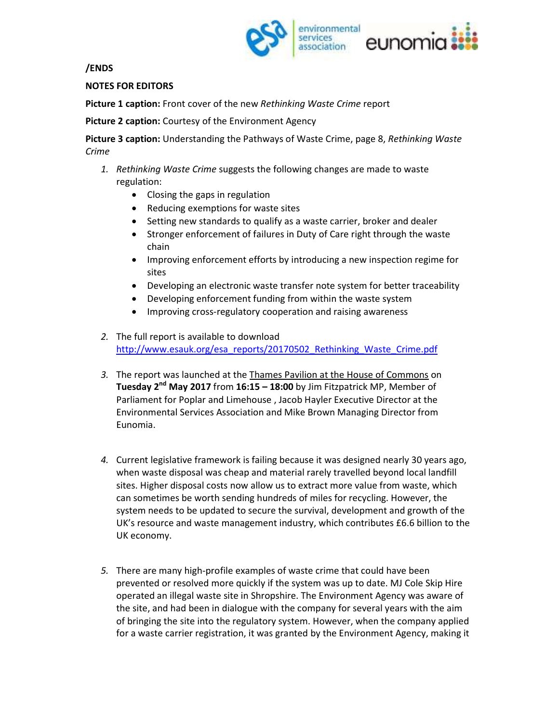

**/ENDS** 

**NOTES FOR EDITORS** 

**Picture 1 caption:** Front cover of the new *Rethinking Waste Crime* report

**Picture 2 caption:** Courtesy of the Environment Agency

**Picture 3 caption:** Understanding the Pathways of Waste Crime, page 8, *Rethinking Waste Crime*

- *1. Rethinking Waste Crime* suggests the following changes are made to waste regulation:
	- Closing the gaps in regulation
	- Reducing exemptions for waste sites
	- Setting new standards to qualify as a waste carrier, broker and dealer
	- Stronger enforcement of failures in Duty of Care right through the waste chain
	- Improving enforcement efforts by introducing a new inspection regime for sites
	- Developing an electronic waste transfer note system for better traceability
	- Developing enforcement funding from within the waste system
	- Improving cross-regulatory cooperation and raising awareness
- *2.* The full report is available to download http://www.esauk.org/esa\_reports/20170502\_Rethinking\_Waste\_Crime.pdf
- *3.* The report was launched at the Thames Pavilion at the House of Commons on **Tuesday 2nd May 2017** from **16:15 – 18:00** by Jim Fitzpatrick MP, Member of Parliament for Poplar and Limehouse , Jacob Hayler Executive Director at the Environmental Services Association and Mike Brown Managing Director from Eunomia.
- *4.* Current legislative framework is failing because it was designed nearly 30 years ago, when waste disposal was cheap and material rarely travelled beyond local landfill sites. Higher disposal costs now allow us to extract more value from waste, which can sometimes be worth sending hundreds of miles for recycling. However, the system needs to be updated to secure the survival, development and growth of the UK's resource and waste management industry, which contributes £6.6 billion to the UK economy.
- *5.* There are many high-profile examples of waste crime that could have been prevented or resolved more quickly if the system was up to date. MJ Cole Skip Hire operated an illegal waste site in Shropshire. The Environment Agency was aware of the site, and had been in dialogue with the company for several years with the aim of bringing the site into the regulatory system. However, when the company applied for a waste carrier registration, it was granted by the Environment Agency, making it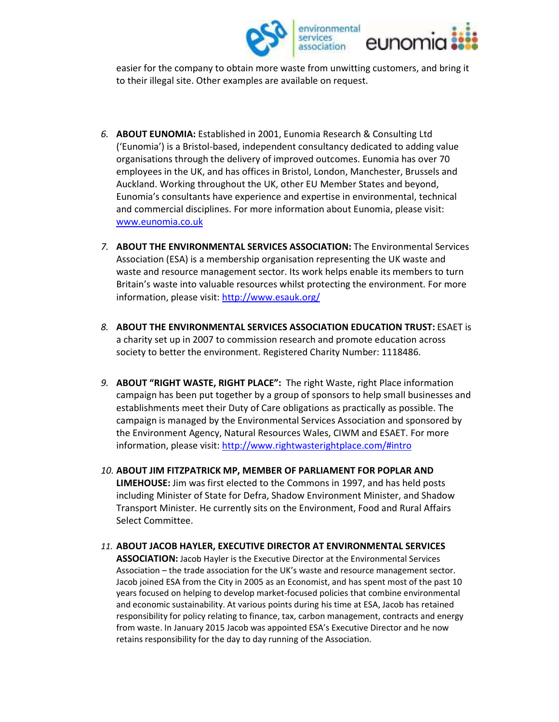

easier for the company to obtain more waste from unwitting customers, and bring it to their illegal site. Other examples are available on request.

- *6.* **ABOUT EUNOMIA:** Established in 2001, Eunomia Research & Consulting Ltd ('Eunomia') is a Bristol-based, independent consultancy dedicated to adding value organisations through the delivery of improved outcomes. Eunomia has over 70 employees in the UK, and has offices in Bristol, London, Manchester, Brussels and Auckland. Working throughout the UK, other EU Member States and beyond, Eunomia's consultants have experience and expertise in environmental, technical and commercial disciplines. For more information about Eunomia, please visit: www.eunomia.co.uk
- *7.* **ABOUT THE ENVIRONMENTAL SERVICES ASSOCIATION:** The Environmental Services Association (ESA) is a membership organisation representing the UK waste and waste and resource management sector. Its work helps enable its members to turn Britain's waste into valuable resources whilst protecting the environment. For more information, please visit: http://www.esauk.org/
- *8.* **ABOUT THE ENVIRONMENTAL SERVICES ASSOCIATION EDUCATION TRUST:** ESAET is a charity set up in 2007 to commission research and promote education across society to better the environment. Registered Charity Number: 1118486.
- *9.* **ABOUT "RIGHT WASTE, RIGHT PLACE":** The right Waste, right Place information campaign has been put together by a group of sponsors to help small businesses and establishments meet their Duty of Care obligations as practically as possible. The campaign is managed by the Environmental Services Association and sponsored by the Environment Agency, Natural Resources Wales, CIWM and ESAET. For more information, please visit: http://www.rightwasterightplace.com/#intro
- *10.* **ABOUT JIM FITZPATRICK MP, MEMBER OF PARLIAMENT FOR POPLAR AND LIMEHOUSE:** Jim was first elected to the Commons in 1997, and has held posts including Minister of State for Defra, Shadow Environment Minister, and Shadow Transport Minister. He currently sits on the Environment, Food and Rural Affairs Select Committee.

## *11.* **ABOUT JACOB HAYLER, EXECUTIVE DIRECTOR AT ENVIRONMENTAL SERVICES**

**ASSOCIATION:** Jacob Hayler is the Executive Director at the Environmental Services Association – the trade association for the UK's waste and resource management sector. Jacob joined ESA from the City in 2005 as an Economist, and has spent most of the past 10 years focused on helping to develop market-focused policies that combine environmental and economic sustainability. At various points during his time at ESA, Jacob has retained responsibility for policy relating to finance, tax, carbon management, contracts and energy from waste. In January 2015 Jacob was appointed ESA's Executive Director and he now retains responsibility for the day to day running of the Association.